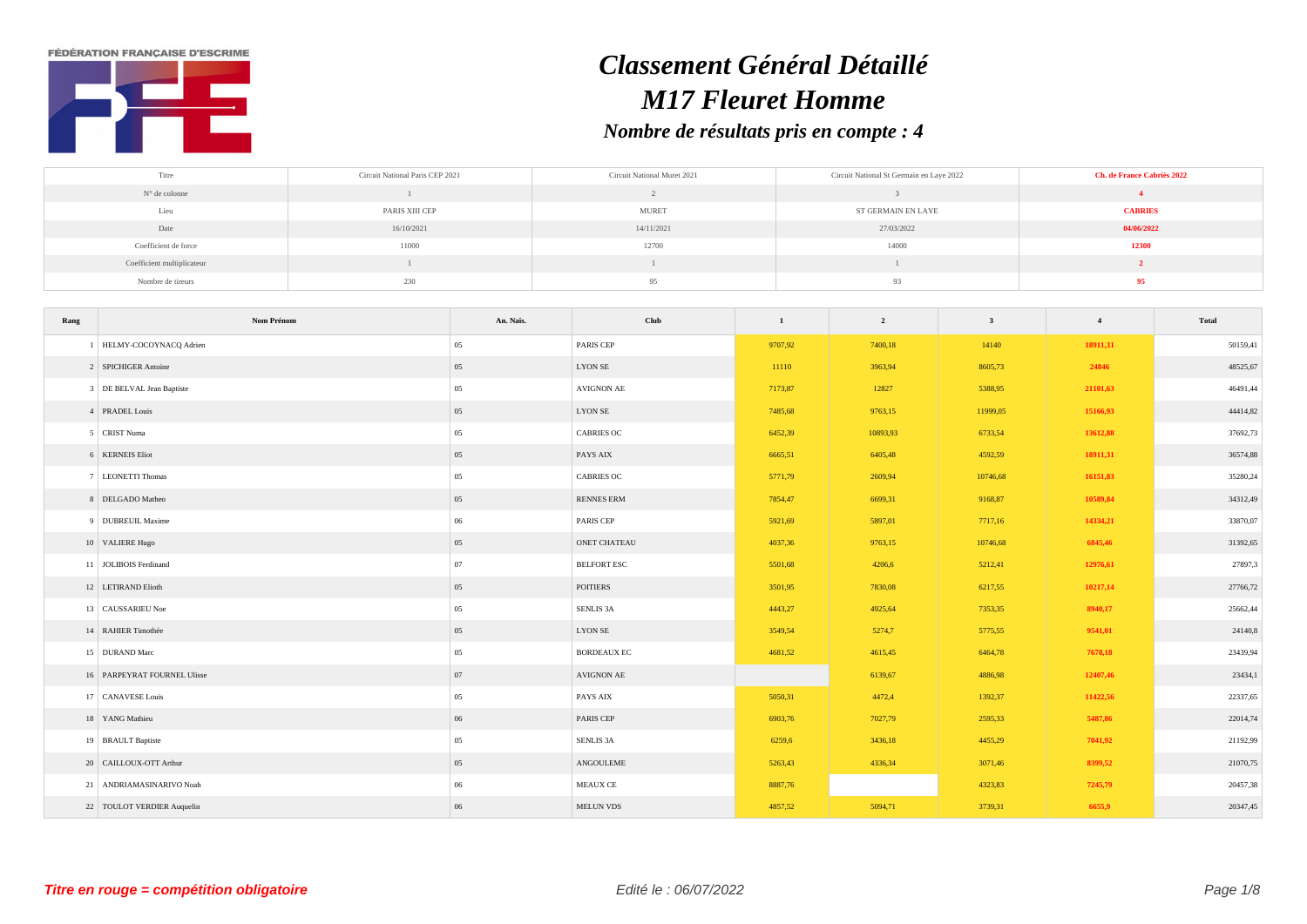**FÉDÉRATION FRANCAISE D'ESCRIME** 



## *Classement Général Détaillé M17 Fleuret Homme Nombre de résultats pris en compte : 4*

| Titre                      | Circuit National Paris CEP 2021 | Circuit National Muret 2021 | Circuit National St Germain en Laye 2022 | Ch. de France Cabriès 2022 |
|----------------------------|---------------------------------|-----------------------------|------------------------------------------|----------------------------|
| N° de colonne              |                                 |                             |                                          |                            |
| Lieu                       | PARIS XIII CEP                  | <b>MURET</b>                | ST GERMAIN EN LAYE                       | <b>CABRIES</b>             |
| Date                       | 16/10/2021                      | 14/11/2021                  | 27/03/2022                               | 04/06/2022                 |
| Coefficient de force       | 11000                           | 12700                       | 14000                                    | 12300                      |
| Coefficient multiplicateur |                                 |                             |                                          |                            |
| Nombre de tireurs          | 230                             | 95                          | 93                                       |                            |

| Rang | Nom Prénom                  | An. Nais. | Club                  | $\mathbf{1}$ | $\overline{2}$ | $\overline{\mathbf{3}}$ | $\overline{4}$ | Total    |
|------|-----------------------------|-----------|-----------------------|--------------|----------------|-------------------------|----------------|----------|
|      | HELMY-COCOYNACQ Adrien      | 05        | <b>PARIS CEP</b>      | 9707,92      | 7400,18        | 14140                   | 18911,31       | 50159,41 |
|      | 2 SPICHIGER Antoine         | 05        | <b>LYON SE</b>        | 11110        | 3963,94        | 8605,73                 | 24846          | 48525,67 |
|      | 3 DE BELVAL Jean Baptiste   | 05        | AVIGNON AE            | 7173,87      | 12827          | 5388,95                 | 21101,63       | 46491,44 |
|      | 4 PRADEL Louis              | 05        | LYON SE               | 7485,68      | 9763,15        | 11999,05                | 15166,93       | 44414,82 |
|      | 5 CRIST Numa                | 05        | <b>CABRIES OC</b>     | 6452,39      | 10893,93       | 6733,54                 | 13612,88       | 37692,73 |
|      | 6 KERNEIS Eliot             | 05        | PAYS AIX              | 6665,51      | 6405,48        | 4592,59                 | 18911,31       | 36574,88 |
|      | 7 LEONETTI Thomas           | 05        | <b>CABRIES OC</b>     | 5771,79      | 2609,94        | 10746,68                | 16151,83       | 35280,24 |
|      | 8 DELGADO Matheo            | 05        | <b>RENNES ERM</b>     | 7854,47      | 6699,31        | 9168,87                 | 10589,84       | 34312,49 |
|      | 9 DUBREUIL Maxime           | 06        | PARIS CEP             | 5921,69      | 5897,01        | 7717,16                 | 14334,21       | 33870,07 |
|      | 10 VALIERE Hugo             | 05        | ONET CHATEAU          | 4037,36      | 9763,15        | 10746,68                | 6845,46        | 31392,65 |
|      | 11 JOLIBOIS Ferdinand       | 07        | <b>BELFORT ESC</b>    | 5501,68      | 4206,6         | 5212,41                 | 12976,61       | 27897,3  |
|      | 12 LETIRAND Elioth          | 05        | POITIERS              | 3501,95      | 7830,08        | 6217,55                 | 10217,14       | 27766,72 |
|      | 13 CAUSSARIEU Noe           | $05\,$    | SENLIS <sub>3</sub> A | 4443,27      | 4925,64        | 7353,35                 | 8940,17        | 25662,44 |
|      | 14 RAHIER Timothée          | 05        | <b>LYON SE</b>        | 3549,54      | 5274,7         | 5775,55                 | 9541,01        | 24140,8  |
|      | 15 DURAND Marc              | 05        | <b>BORDEAUX EC</b>    | 4681,52      | 4615,45        | 6464,78                 | 7678,18        | 23439,94 |
|      | 16 PARPEYRAT FOURNEL Ulisse | 07        | AVIGNON AE            |              | 6139,67        | 4886,98                 | 12407,46       | 23434,1  |
|      | 17 CANAVESE Louis           | 05        | PAYS AIX              | 5050,31      | 4472,4         | 1392,37                 | 11422,56       | 22337,65 |
|      | 18 YANG Mathieu             | 06        | <b>PARIS CEP</b>      | 6903,76      | 7027,79        | 2595,33                 | 5487,86        | 22014,74 |
|      | 19 BRAULT Baptiste          | 05        | <b>SENLIS 3A</b>      | 6259,6       | 3436,18        | 4455,29                 | 7041,92        | 21192,99 |
|      | 20 CAILLOUX-OTT Arthur      | 05        | ANGOULEME             | 5263,43      | 4336,34        | 3071,46                 | 8399,52        | 21070,75 |
|      | 21 ANDRIAMASINARIVO Noah    | 06        | <b>MEAUX CE</b>       | 8887,76      |                | 4323,83                 | 7245,79        | 20457,38 |
|      | 22 TOULOT VERDIER Auquelin  | 06        | <b>MELUN VDS</b>      | 4857,52      | 5094,71        | 3739,31                 | 6655,9         | 20347,45 |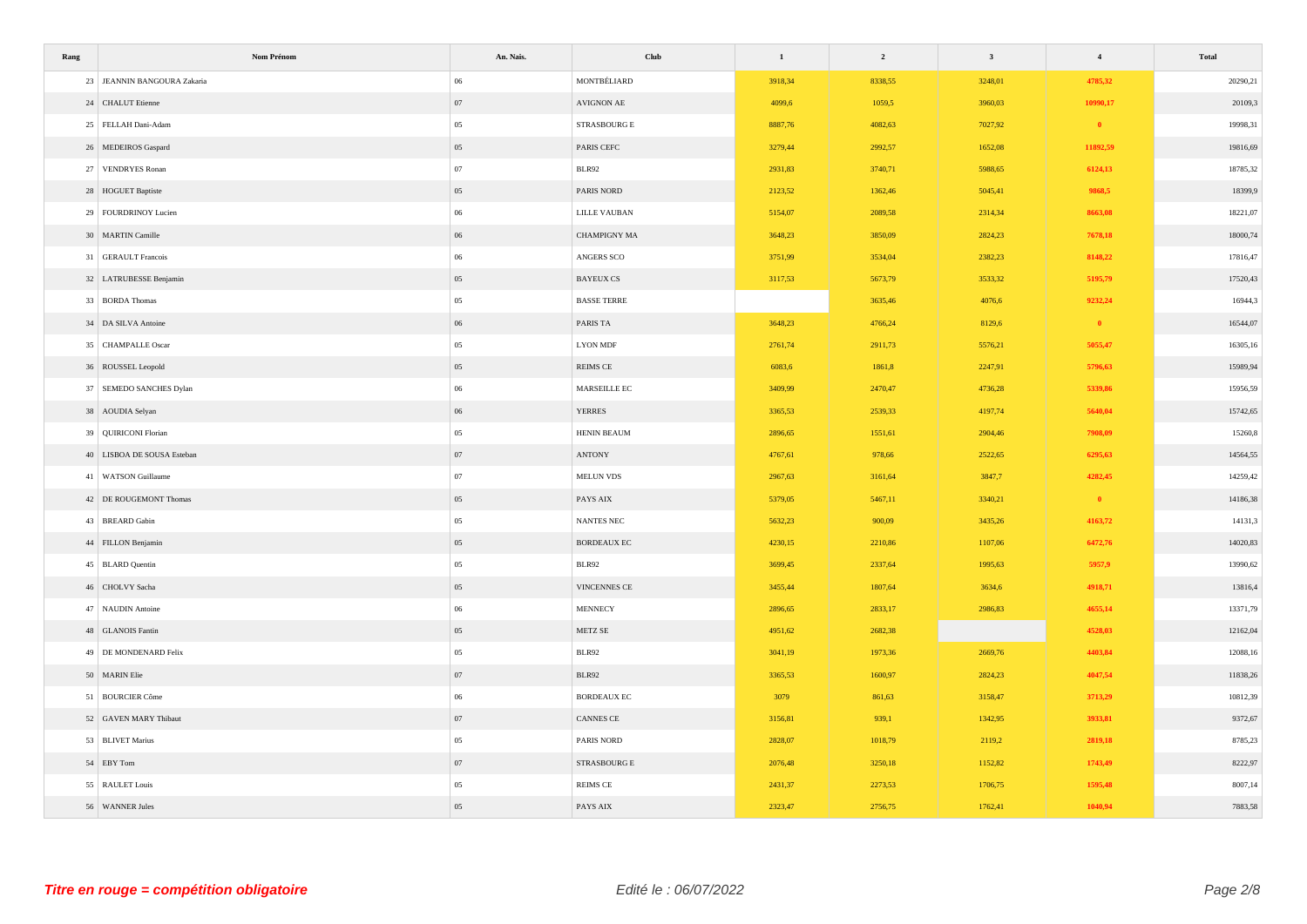| Rang | Nom Prénom                  | An. Nais. | Club                          | $1\,$   | $\overline{\mathbf{2}}$ | $\mathbf{3}$ | $\overline{\mathbf{4}}$ | <b>Total</b> |
|------|-----------------------------|-----------|-------------------------------|---------|-------------------------|--------------|-------------------------|--------------|
|      | 23 JEANNIN BANGOURA Zakaria | 06        | MONTBÉLIARD                   | 3918,34 | 8338,55                 | 3248,01      | 4785,32                 | 20290,21     |
|      | 24 CHALUT Etienne           | 07        | AVIGNON AE                    | 4099,6  | 1059,5                  | 3960,03      | 10990,17                | 20109,3      |
|      | 25 FELLAH Dani-Adam         | 05        | $\operatorname{STRASBOURG}$ E | 8887,76 | 4082,63                 | 7027,92      | $\bullet$               | 19998,31     |
|      | 26 MEDEIROS Gaspard         | 05        | PARIS CEFC                    | 3279,44 | 2992,57                 | 1652,08      | 11892,59                | 19816,69     |
|      | 27 VENDRYES Ronan           | 07        | BLR92                         | 2931,83 | 3740,71                 | 5988,65      | 6124,13                 | 18785,32     |
|      | 28 HOGUET Baptiste          | 05        | PARIS NORD                    | 2123,52 | 1362,46                 | 5045,41      | 9868,5                  | 18399,9      |
|      | 29 FOURDRINOY Lucien        | $06\,$    | <b>LILLE VAUBAN</b>           | 5154,07 | 2089,58                 | 2314,34      | 8663,08                 | 18221,07     |
|      | 30 MARTIN Camille           | 06        | <b>CHAMPIGNY MA</b>           | 3648,23 | 3850,09                 | 2824,23      | 7678,18                 | 18000,74     |
|      | 31 GERAULT Francois         | $06\,$    | ANGERS SCO                    | 3751,99 | 3534,04                 | 2382,23      | 8148,22                 | 17816,47     |
|      | 32 LATRUBESSE Benjamin      | 05        | <b>BAYEUX CS</b>              | 3117,53 | 5673,79                 | 3533,32      | 5195,79                 | 17520,43     |
|      | 33 BORDA Thomas             | 05        | <b>BASSE TERRE</b>            |         | 3635,46                 | 4076,6       | 9232,24                 | 16944,3      |
|      | 34 DA SILVA Antoine         | 06        | PARIS TA                      | 3648,23 | 4766,24                 | 8129,6       | $\bullet$               | 16544,07     |
|      | 35 CHAMPALLE Oscar          | 05        | <b>LYON MDF</b>               | 2761,74 | 2911,73                 | 5576,21      | 5055,47                 | 16305,16     |
|      | 36 ROUSSEL Leopold          | 05        | REIMS CE                      | 6083,6  | 1861,8                  | 2247,91      | 5796,63                 | 15989,94     |
|      | 37 SEMEDO SANCHES Dylan     | $06\,$    | MARSEILLE EC                  | 3409,99 | 2470,47                 | 4736,28      | 5339,86                 | 15956,59     |
|      | 38 AOUDIA Selyan            | 06        | <b>YERRES</b>                 | 3365,53 | 2539,33                 | 4197,74      | 5640,04                 | 15742,65     |
|      | 39 QUIRICONI Florian        | $05\,$    | HENIN BEAUM                   | 2896,65 | 1551,61                 | 2904,46      | 7908,09                 | 15260,8      |
|      | 40 LISBOA DE SOUSA Esteban  | 07        | $\operatorname{ANTONY}$       | 4767,61 | 978,66                  | 2522,65      | 6295,63                 | 14564,55     |
|      | 41 WATSON Guillaume         | 07        | MELUN VDS                     | 2967,63 | 3161,64                 | 3847,7       | 4282,45                 | 14259,42     |
|      | 42 DE ROUGEMONT Thomas      | 05        | PAYS AIX                      | 5379,05 | 5467,11                 | 3340,21      | $\bullet$               | 14186,38     |
|      | 43 BREARD Gabin             | 05        | $\mbox{NANTES}$ NEC           | 5632,23 | 900,09                  | 3435,26      | 4163,72                 | 14131,3      |
|      | 44 FILLON Benjamin          | 05        | <b>BORDEAUX EC</b>            | 4230,15 | 2210,86                 | 1107,06      | 6472,76                 | 14020,83     |
|      | 45 BLARD Quentin            | 05        | BLR92                         | 3699,45 | 2337,64                 | 1995,63      | 5957,9                  | 13990,62     |
|      | 46 CHOLVY Sacha             | 05        | VINCENNES CE                  | 3455,44 | 1807,64                 | 3634,6       | 4918,71                 | 13816,4      |
|      | 47 NAUDIN Antoine           | $06\,$    | <b>MENNECY</b>                | 2896,65 | 2833,17                 | 2986,83      | 4655,14                 | 13371,79     |
|      | 48 GLANOIS Fantin           | 05        | METZ SE                       | 4951,62 | 2682,38                 |              | 4528,03                 | 12162,04     |
|      | 49 DE MONDENARD Felix       | 05        | <b>BLR92</b>                  | 3041,19 | 1973,36                 | 2669,76      | 4403,84                 | 12088,16     |
|      | 50 MARIN Elie               | 07        | BLR92                         | 3365,53 | 1600,97                 | 2824,23      | 4047,54                 | 11838,26     |
|      | 51 BOURCIER Côme            | 06        | <b>BORDEAUX EC</b>            | 3079    | 861,63                  | 3158,47      | 3713,29                 | 10812,39     |
|      | 52 GAVEN MARY Thibaut       | 07        | CANNES CE                     | 3156,81 | 939,1                   | 1342,95      | 3933,81                 | 9372,67      |
|      | 53 BLIVET Marius            | 05        | PARIS NORD                    | 2828,07 | 1018,79                 | 2119,2       | 2819,18                 | 8785,23      |
|      | 54 EBY Tom                  | 07        | ${\tt STRASBOURG}$ ${\tt E}$  | 2076,48 | 3250,18                 | 1152,82      | 1743,49                 | 8222,97      |
|      | 55 RAULET Louis             | 05        | <b>REIMS CE</b>               | 2431,37 | 2273,53                 | 1706,75      | 1595,48                 | 8007,14      |
|      | 56 WANNER Jules             | 05        | PAYS AIX                      | 2323,47 | 2756,75                 | 1762,41      | 1040,94                 | 7883,58      |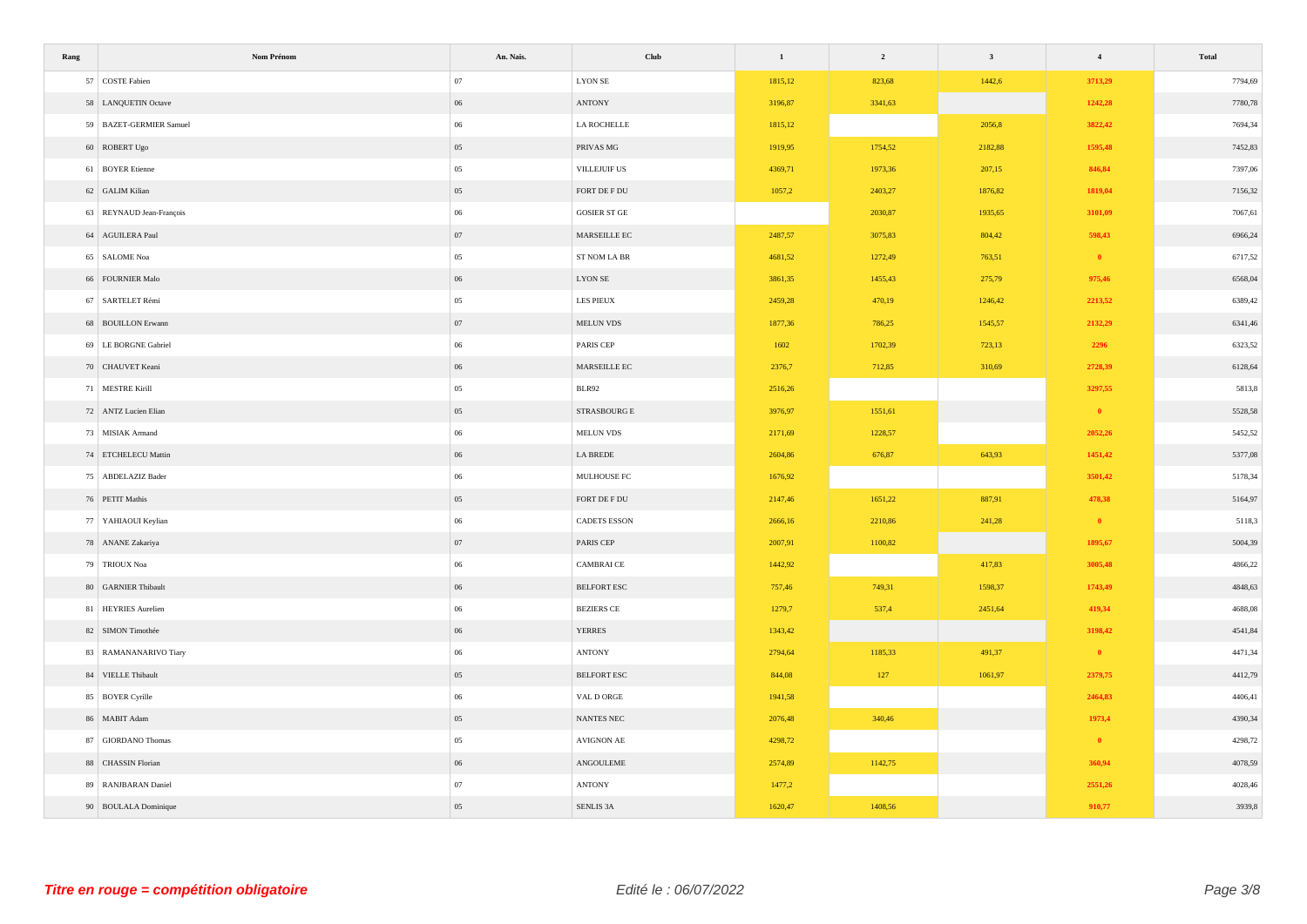| Rang | Nom Prénom               | An. Nais. | <b>Club</b>                          | $\mathbf{1}$ | $\overline{\mathbf{c}}$ | $\mathbf{3}$ | $\overline{4}$ | Total   |
|------|--------------------------|-----------|--------------------------------------|--------------|-------------------------|--------------|----------------|---------|
|      | 57 COSTE Fabien          | 07        | <b>LYON SE</b>                       | 1815,12      | 823,68                  | 1442,6       | 3713,29        | 7794,69 |
|      | 58 LANQUETIN Octave      | 06        | ANTONY                               | 3196,87      | 3341,63                 |              | 1242,28        | 7780,78 |
|      | 59 BAZET-GERMIER Samuel  | $06\,$    | LA ROCHELLE                          | 1815,12      |                         | 2056,8       | 3822,42        | 7694,34 |
|      | 60 ROBERT Ugo            | 05        | PRIVAS MG                            | 1919,95      | 1754,52                 | 2182,88      | 1595,48        | 7452,83 |
|      | 61 BOYER Etienne         | 05        | VILLEJUIF US                         | 4369,71      | 1973,36                 | 207,15       | 846,84         | 7397,06 |
|      | 62 GALIM Kilian          | $05\,$    | FORT DE F $\mathop{\rm DU}\nolimits$ | 1057,2       | 2403,27                 | 1876,82      | 1819,04        | 7156,32 |
|      | 63 REYNAUD Jean-François | $06\,$    | GOSIER ST $\operatorname{GE}$        |              | 2030,87                 | 1935,65      | 3101,09        | 7067,61 |
|      | 64 AGUILERA Paul         | 07        | MARSEILLE EC                         | 2487,57      | 3075,83                 | 804,42       | 598,43         | 6966,24 |
|      | 65 SALOME Noa            | $05\,$    | ${\hbox{ST}}$ NOM LA BR              | 4681,52      | 1272,49                 | 763,51       | $\bullet$      | 6717,52 |
|      | 66 FOURNIER Malo         | $06\,$    | ${\rm LYON}$ SE                      | 3861,35      | 1455,43                 | 275,79       | 975,46         | 6568,04 |
|      | 67 SARTELET Rémi         | $05\,$    | LES PIEUX                            | 2459,28      | 470,19                  | 1246,42      | 2213,52        | 6389,42 |
|      | 68 BOUILLON Erwann       | 07        | MELUN VDS                            | 1877,36      | 786,25                  | 1545,57      | 2132,29        | 6341,46 |
|      | 69 LE BORGNE Gabriel     | $06\,$    | PARIS CEP                            | 1602         | 1702,39                 | 723,13       | 2296           | 6323,52 |
|      | 70 CHAUVET Keani         | 06        | MARSEILLE EC                         | 2376,7       | 712,85                  | 310,69       | 2728,39        | 6128,64 |
|      | 71 MESTRE Kirill         | $05\,$    | BLR92                                | 2516,26      |                         |              | 3297,55        | 5813,8  |
|      | 72 ANTZ Lucien Elian     | $05\,$    | STRASBOURG E                         | 3976,97      | 1551,61                 |              | $\bullet$      | 5528,58 |
|      | 73 MISIAK Armand         | $06\,$    | $\operatorname{\mathsf{MELUN}}$ VDS  | 2171,69      | 1228,57                 |              | 2052,26        | 5452,52 |
|      | 74 ETCHELECU Mattin      | 06        | LA BREDE                             | 2604,86      | 676,87                  | 643,93       | 1451,42        | 5377,08 |
|      | 75 ABDELAZIZ Bader       | $06\,$    | MULHOUSE FC                          | 1676,92      |                         |              | 3501,42        | 5178,34 |
|      | 76 PETIT Mathis          | $05\,$    | FORT DE F ${\rm DU}$                 | 2147,46      | 1651,22                 | 887,91       | 478,38         | 5164,97 |
|      | 77 YAHIAOUI Keylian      | $06\,$    | CADETS ESSON                         | 2666,16      | 2210,86                 | 241,28       | $\bullet$      | 5118,3  |
|      | 78 ANANE Zakariya        | 07        | PARIS CEP                            | 2007,91      | 1100,82                 |              | 1895,67        | 5004,39 |
|      | 79 TRIOUX Noa            | $06\,$    | CAMBRAI CE                           | 1442,92      |                         | 417,83       | 3005,48        | 4866,22 |
|      | 80 GARNIER Thibault      | 06        | BELFORT ESC                          | 757,46       | 749,31                  | 1598,37      | 1743,49        | 4848,63 |
|      | 81 HEYRIES Aurelien      | 06        | <b>BEZIERS CE</b>                    | 1279,7       | 537,4                   | 2451,64      | 419,34         | 4688,08 |
|      | 82 SIMON Timothée        | $06\,$    | YERRES                               | 1343,42      |                         |              | 3198,42        | 4541,84 |
|      | 83 RAMANANARIVO Tiary    | $06\,$    | <b>ANTONY</b>                        | 2794,64      | 1185,33                 | 491,37       | $\bullet$      | 4471,34 |
|      | 84 VIELLE Thibault       | $05\,$    | BELFORT ESC                          | 844,08       | 127                     | 1061,97      | 2379,75        | 4412,79 |
|      | 85 BOYER Cyrille         | $06\,$    | VAL D ORGE                           | 1941,58      |                         |              | 2464,83        | 4406,41 |
|      | 86 MABIT Adam            | $05\,$    | NANTES NEC                           | 2076,48      | 340,46                  |              | 1973,4         | 4390,34 |
|      | 87 GIORDANO Thomas       | $05\,$    | AVIGNON AE                           | 4298,72      |                         |              | $\bullet$      | 4298,72 |
|      | 88 CHASSIN Florian       | $06\,$    | $\operatorname{ANGOULEME}$           | 2574,89      | 1142,75                 |              | 360,94         | 4078,59 |
|      | 89 RANJBARAN Daniel      | $07\,$    | ANTONY                               | 1477,2       |                         |              | 2551,26        | 4028,46 |
|      | 90 BOULALA Dominique     | $05\,$    | SENLIS 3A                            | 1620,47      | 1408,56                 |              | 910,77         | 3939,8  |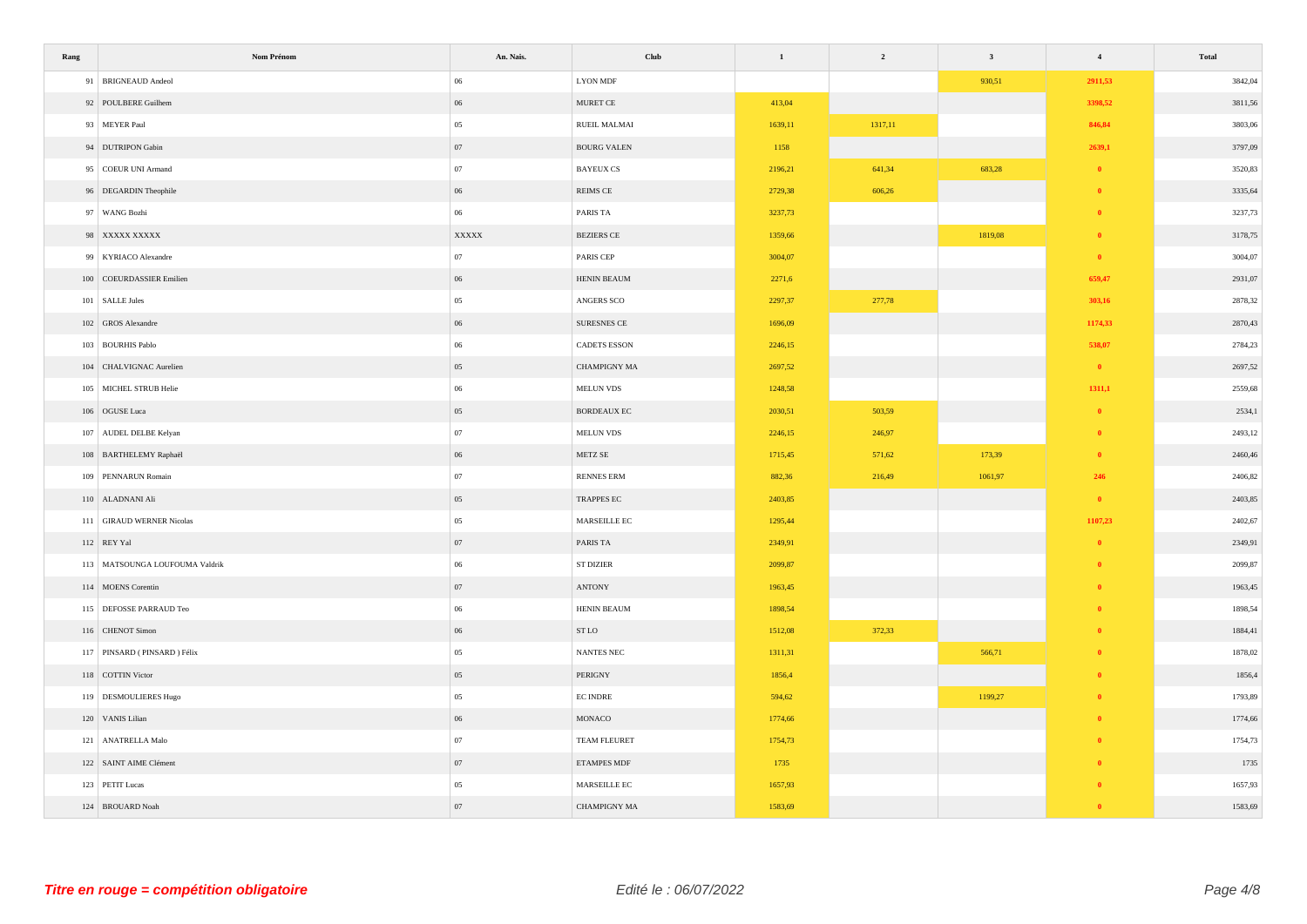| Rang | Nom Prénom                     | An. Nais.    | Club                | $\mathbf{1}$ | $\overline{2}$ | $\mathbf{3}$ | $\overline{4}$ | Total   |
|------|--------------------------------|--------------|---------------------|--------------|----------------|--------------|----------------|---------|
|      | 91 BRIGNEAUD Andeol            | 06           | <b>LYON MDF</b>     |              |                | 930,51       | 2911,53        | 3842,04 |
|      | 92 POULBERE Guilhem            | $06\,$       | MURET CE            | 413,04       |                |              | 3398,52        | 3811,56 |
|      | 93 MEYER Paul                  | 05           | RUEIL MALMAI        | 1639,11      | 1317,11        |              | 846,84         | 3803,06 |
|      | 94 DUTRIPON Gabin              | 07           | <b>BOURG VALEN</b>  | 1158         |                |              | 2639,1         | 3797,09 |
|      | 95 COEUR UNI Armand            | 07           | <b>BAYEUX CS</b>    | 2196,21      | 641,34         | 683,28       | $\bullet$      | 3520,83 |
|      | 96 DEGARDIN Theophile          | $06\,$       | REIMS CE            | 2729,38      | 606,26         |              | $\mathbf{0}$   | 3335,64 |
|      | 97 WANG Bozhi                  | $06\,$       | PARIS TA            | 3237,73      |                |              | $\theta$       | 3237,73 |
|      | 98 XXXXX XXXXX                 | <b>XXXXX</b> | <b>BEZIERS CE</b>   | 1359,66      |                | 1819,08      | $\mathbf{0}$   | 3178,75 |
|      | 99 KYRIACO Alexandre           | $07\,$       | PARIS CEP           | 3004,07      |                |              | $\bullet$      | 3004,07 |
|      | 100 COEURDASSIER Emilien       | $06\,$       | HENIN BEAUM         | 2271,6       |                |              | 659,47         | 2931,07 |
|      | 101 SALLE Jules                | 05           | ANGERS SCO          | 2297,37      | 277,78         |              | 303,16         | 2878,32 |
|      | 102 GROS Alexandre             | $06\,$       | SURESNES CE         | 1696,09      |                |              | 1174,33        | 2870,43 |
|      | 103 BOURHIS Pablo              | $06\,$       | CADETS ESSON        | 2246,15      |                |              | 538,07         | 2784,23 |
|      | 104 CHALVIGNAC Aurelien        | $05\,$       | CHAMPIGNY MA        | 2697,52      |                |              | $\bullet$      | 2697,52 |
|      | 105 MICHEL STRUB Helie         | $06\,$       | MELUN VDS           | 1248,58      |                |              | 1311,1         | 2559,68 |
|      | 106 OGUSE Luca                 | $05\,$       | BORDEAUX EC         | 2030,51      | 503,59         |              | $\theta$       | 2534,1  |
|      | 107 AUDEL DELBE Kelyan         | 07           | MELUN VDS           | 2246,15      | 246,97         |              | $\theta$       | 2493,12 |
|      | 108 BARTHELEMY Raphaël         | $06\,$       | METZ SE             | 1715,45      | 571,62         | 173,39       | $\mathbf{0}$   | 2460,46 |
|      | 109 PENNARUN Romain            | $07\,$       | RENNES ERM          | 882,36       | 216,49         | 1061,97      | 246            | 2406,82 |
|      | 110 ALADNANI Ali               | $05\,$       | TRAPPES EC          | 2403,85      |                |              | $\bullet$      | 2403,85 |
|      | 111 GIRAUD WERNER Nicolas      | $05\,$       | MARSEILLE EC        | 1295,44      |                |              | 1107,23        | 2402,67 |
|      | 112 REY Yal                    | 07           | PARIS TA            | 2349,91      |                |              | $\mathbf{0}$   | 2349,91 |
|      | 113 MATSOUNGA LOUFOUMA Valdrik | $06\,$       | <b>ST DIZIER</b>    | 2099,87      |                |              | $\theta$       | 2099,87 |
|      | 114 MOENS Corentin             | 07           | ANTONY              | 1963,45      |                |              | $\theta$       | 1963,45 |
|      | 115 DEFOSSE PARRAUD Teo        | $06\,$       | HENIN BEAUM         | 1898,54      |                |              | $\bf{0}$       | 1898,54 |
|      | 116 CHENOT Simon               | $06\,$       | ST LO               | 1512,08      | 372,33         |              | -0             | 1884,41 |
|      | 117 PINSARD (PINSARD) Félix    | 05           | <b>NANTES NEC</b>   | 1311,31      |                | 566,71       | $\mathbf{0}$   | 1878,02 |
|      | 118 COTTIN Victor              | $05\,$       | PERIGNY             | 1856,4       |                |              | $\theta$       | 1856,4  |
|      | 119 DESMOULIERES Hugo          | $05\,$       | <b>EC INDRE</b>     | 594,62       |                | 1199,27      |                | 1793,89 |
|      | 120 VANIS Lilian               | $06\,$       | $\rm MONACO$        | 1774,66      |                |              |                | 1774,66 |
|      | 121 ANATRELLA Malo             | 07           | TEAM FLEURET        | 1754,73      |                |              |                | 1754,73 |
|      | 122 SAINT AIME Clément         | $07\,$       | ETAMPES MDF         | 1735         |                |              |                | 1735    |
|      | 123 PETIT Lucas                | $05\,$       | MARSEILLE EC        | 1657,93      |                |              |                | 1657,93 |
|      | 124 BROUARD Noah               | $07\,$       | <b>CHAMPIGNY MA</b> | 1583,69      |                |              |                | 1583,69 |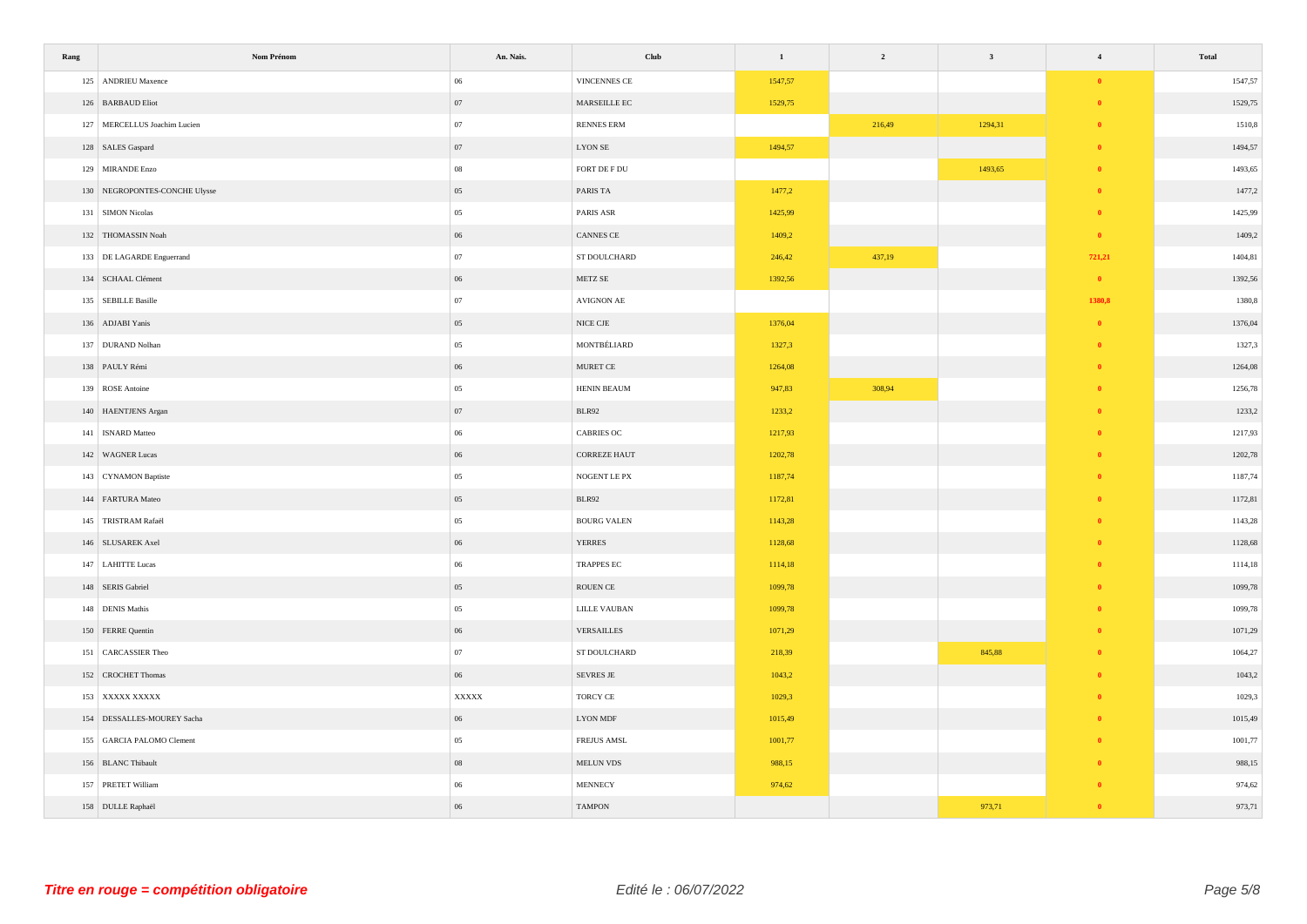| Rang | Nom Prénom                    | An. Nais.        | Club                                | $\mathbf{1}$ | $\overline{\mathbf{2}}$ | $\overline{\mathbf{3}}$ | $\overline{4}$ | Total   |
|------|-------------------------------|------------------|-------------------------------------|--------------|-------------------------|-------------------------|----------------|---------|
|      | 125 ANDRIEU Maxence           | $06\,$           | VINCENNES CE                        | 1547,57      |                         |                         | $\bullet$      | 1547,57 |
|      | 126 BARBAUD Eliot             | $07\,$           | $\operatorname{MARSEILLE}$ EC       | 1529,75      |                         |                         | $\mathbf{0}$   | 1529,75 |
|      | 127 MERCELLUS Joachim Lucien  | $07\,$           | <b>RENNES ERM</b>                   |              | 216,49                  | 1294,31                 | $\bullet$      | 1510,8  |
|      | 128 SALES Gaspard             | 07               | $\rm LYON\;SE$                      | 1494,57      |                         |                         | $\bullet$      | 1494,57 |
|      | 129 MIRANDE Enzo              | $08\,$           | FORT DE F DU                        |              |                         | 1493,65                 | $\mathbf{0}$   | 1493,65 |
|      | 130 NEGROPONTES-CONCHE Ulysse | $05\,$           | PARIS TA                            | 1477,2       |                         |                         | $\bullet$      | 1477,2  |
|      | 131 SIMON Nicolas             | $05\,$           | PARIS ASR                           | 1425,99      |                         |                         | $\bullet$      | 1425,99 |
|      | 132 THOMASSIN Noah            | 06               | CANNES CE                           | 1409,2       |                         |                         | $\bullet$      | 1409,2  |
|      | 133 DE LAGARDE Enguerrand     | 07               | ST DOULCHARD                        | 246,42       | 437,19                  |                         | 721,21         | 1404,81 |
|      | 134 SCHAAL Clément            | $06\,$           | ${\tt METZ}\, {\tt SE}$             | 1392,56      |                         |                         | $\bullet$      | 1392,56 |
|      | 135 SEBILLE Basille           | $07\,$           | AVIGNON AE                          |              |                         |                         | 1380,8         | 1380,8  |
|      | 136 ADJABI Yanis              | $05\,$           | $\rm NICE$ $\rm CJE$                | 1376,04      |                         |                         | $\bullet$      | 1376,04 |
|      | 137 DURAND Nolhan             | $05\,$           | MONTBÉLIARD                         | 1327,3       |                         |                         | $\bullet$      | 1327,3  |
|      | 138 PAULY Rémi                | 06               | $\,$ MURET CE                       | 1264,08      |                         |                         | $\mathbf{0}$   | 1264,08 |
|      | 139 ROSE Antoine              | $05\,$           | HENIN BEAUM                         | 947,83       | 308,94                  |                         | $\theta$       | 1256,78 |
|      | 140 HAENTJENS Argan           | 07               | BLR92                               | 1233,2       |                         |                         |                | 1233,2  |
|      | 141 ISNARD Matteo             | $06\,$           | CABRIES OC                          | 1217,93      |                         |                         | - 0            | 1217,93 |
|      | 142 WAGNER Lucas              | $06\,$           | <b>CORREZE HAUT</b>                 | 1202,78      |                         |                         |                | 1202,78 |
|      | 143 CYNAMON Baptiste          | 05               | NOGENT LE PX                        | 1187,74      |                         |                         | $\bullet$      | 1187,74 |
|      | 144 FARTURA Mateo             | $05\,$           | BLR92                               | 1172,81      |                         |                         | $\theta$       | 1172,81 |
|      | 145 TRISTRAM Rafaël           | $05\,$           | <b>BOURG VALEN</b>                  | 1143,28      |                         |                         | $\bullet$      | 1143,28 |
|      | 146 SLUSAREK Axel             | $06\,$           | <b>YERRES</b>                       | 1128,68      |                         |                         |                | 1128,68 |
|      | 147 LAHITTE Lucas             | $06\,$           | TRAPPES EC                          | 1114,18      |                         |                         | $\theta$       | 1114,18 |
|      | 148 SERIS Gabriel             | $05\,$           | ROUEN CE                            | 1099,78      |                         |                         |                | 1099,78 |
|      | 148 DENIS Mathis              | 05               | LILLE VAUBAN                        | 1099,78      |                         |                         | $\mathbf{0}$   | 1099,78 |
|      | 150 FERRE Quentin             | $06\,$           | VERSAILLES                          | 1071,29      |                         |                         | $\mathbf{0}$   | 1071,29 |
|      | 151 CARCASSIER Theo           | $07\,$           | ST DOULCHARD                        | 218,39       |                         | 845,88                  | $\theta$       | 1064,27 |
|      | 152 CROCHET Thomas            | $06\,$           | SEVRES JE                           | 1043,2       |                         |                         | $\theta$       | 1043,2  |
|      | 153 XXXXX XXXXX               | $\mathbf{XXXXX}$ | TORCY CE                            | 1029,3       |                         |                         | $\mathbf{0}$   | 1029,3  |
|      | 154 DESSALLES-MOUREY Sacha    | $06\,$           | <b>LYON MDF</b>                     | 1015,49      |                         |                         |                | 1015,49 |
|      | 155 GARCIA PALOMO Clement     | 05               | FREJUS AMSL                         | 1001,77      |                         |                         |                | 1001,77 |
|      | 156 BLANC Thibault            | ${\bf 08}$       | $\operatorname{\mathsf{MELUN}}$ VDS | 988,15       |                         |                         |                | 988,15  |
|      | 157 PRETET William            | $06\,$           | MENNECY                             | 974,62       |                         |                         |                | 974,62  |
|      | 158 DULLE Raphaël             | $06\,$           | <b>TAMPON</b>                       |              |                         | 973,71                  |                | 973,71  |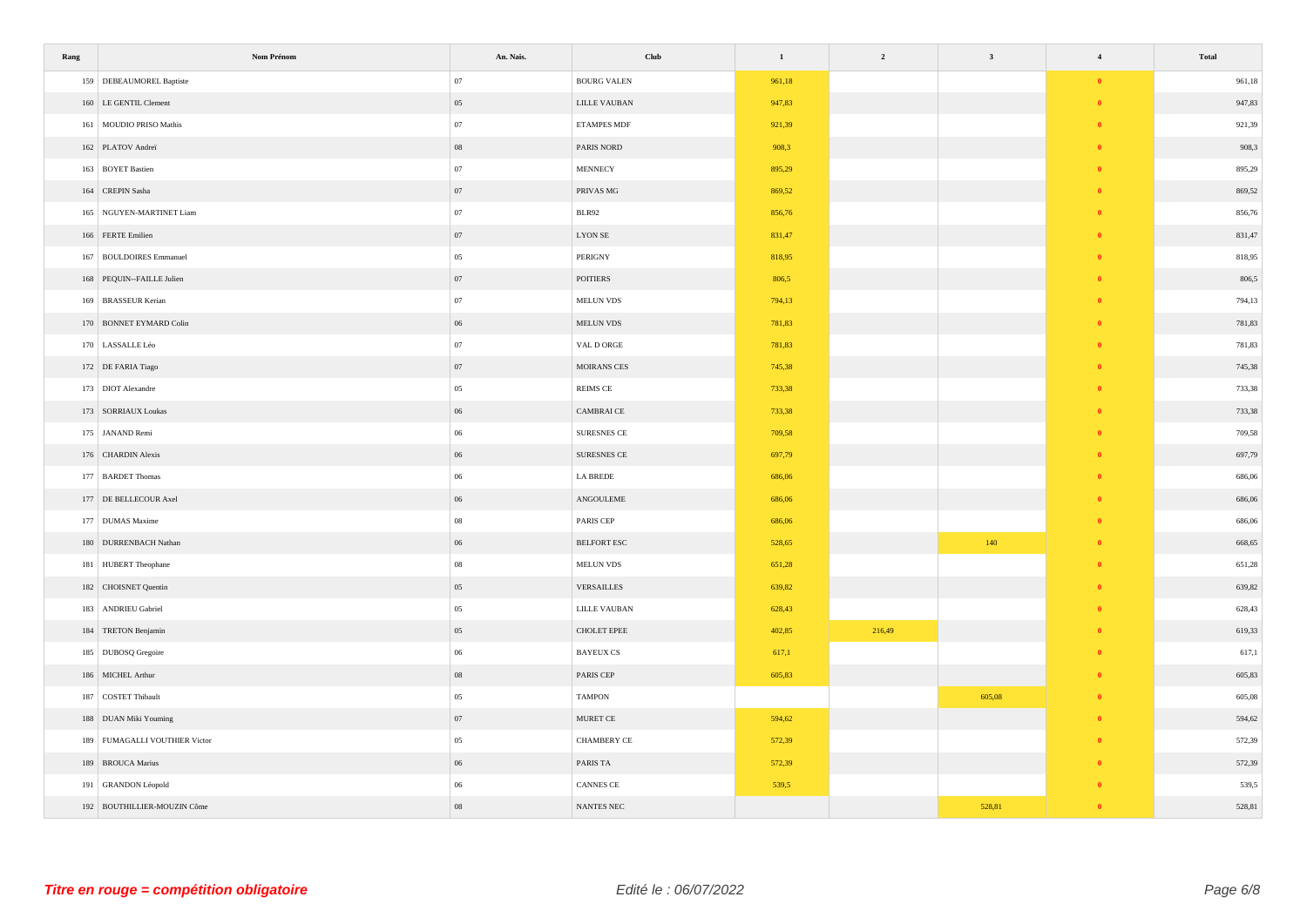| Rang | Nom Prénom                    | An. Nais.  | <b>Club</b>                | $\mathbf{1}$ | $\overline{2}$ | $\overline{\mathbf{3}}$ | $\overline{4}$ | Total  |
|------|-------------------------------|------------|----------------------------|--------------|----------------|-------------------------|----------------|--------|
|      | 159 DEBEAUMOREL Baptiste      | 07         | <b>BOURG VALEN</b>         | 961,18       |                |                         | $\theta$       | 961,18 |
|      | 160 LE GENTIL Clement         | $05\,$     | LILLE VAUBAN               | 947,83       |                |                         | $\bf{0}$       | 947,83 |
|      | 161 MOUDIO PRISO Mathis       | $07\,$     | <b>ETAMPES MDF</b>         | 921,39       |                |                         | $\theta$       | 921,39 |
|      | 162 PLATOV Andreï             | ${\bf 08}$ | PARIS NORD                 | 908,3        |                |                         | $\mathbf{0}$   | 908,3  |
|      | 163 BOYET Bastien             | $07\,$     | <b>MENNECY</b>             | 895,29       |                |                         | $\bullet$      | 895,29 |
|      | 164 CREPIN Sasha              | $07\,$     | PRIVAS MG                  | 869,52       |                |                         |                | 869,52 |
|      | 165 NGUYEN-MARTINET Liam      | $07\,$     | BLR92                      | 856,76       |                |                         | $\theta$       | 856,76 |
|      | 166 FERTE Emilien             | 07         | <b>LYON SE</b>             | 831,47       |                |                         |                | 831,47 |
|      | 167 BOULDOIRES Emmanuel       | $0\,$      | PERIGNY                    | 818,95       |                |                         | - 0            | 818,95 |
|      | 168 PEQUIN--FAILLE Julien     | 07         | <b>POITIERS</b>            | 806,5        |                |                         |                | 806,5  |
|      | 169 BRASSEUR Kerian           | $07\,$     | MELUN VDS                  | 794,13       |                |                         | $\theta$       | 794,13 |
|      | 170 BONNET EYMARD Colin       | $06\,$     | $\operatorname{MELUN}$ VDS | 781,83       |                |                         | $\theta$       | 781,83 |
|      | 170 LASSALLE Léo              | $07\,$     | VAL D ORGE                 | 781,83       |                |                         | $\theta$       | 781,83 |
|      | 172 DE FARIA Tiago            | 07         | <b>MOIRANS CES</b>         | 745,38       |                |                         | $\theta$       | 745,38 |
|      | 173 DIOT Alexandre            | $0\,$      | $\mathsf{REIMS}$ CE        | 733,38       |                |                         | $\theta$       | 733,38 |
|      | 173 SORRIAUX Loukas           | 06         | CAMBRAI CE                 | 733,38       |                |                         |                | 733,38 |
|      | 175 JANAND Remi               | $06\,$     | SURESNES CE                | 709,58       |                |                         | - 0            | 709,58 |
|      | 176 CHARDIN Alexis            | $06\,$     | SURESNES CE                | 697,79       |                |                         | - 0            | 697,79 |
|      | 177 BARDET Thomas             | $06\,$     | LA BREDE                   | 686,06       |                |                         | $\bullet$      | 686,06 |
|      | 177 DE BELLECOUR Axel         | $06\,$     | ANGOULEME                  | 686,06       |                |                         | $\theta$       | 686,06 |
|      | 177 DUMAS Maxime              | $08\,$     | PARIS CEP                  | 686,06       |                |                         | $\mathbf{0}$   | 686,06 |
|      | 180 DURRENBACH Nathan         | $06\,$     | <b>BELFORT ESC</b>         | 528,65       |                | 140                     | $\theta$       | 668,65 |
|      | 181 HUBERT Theophane          | ${\bf 08}$ | MELUN VDS                  | 651,28       |                |                         | $\mathbf{0}$   | 651,28 |
|      | 182 CHOISNET Quentin          | $05\,$     | ${\tt VERSAILLES}$         | 639,82       |                |                         |                | 639,82 |
|      | 183 ANDRIEU Gabriel           | $05\,$     | <b>LILLE VAUBAN</b>        | 628,43       |                |                         | $\theta$       | 628,43 |
|      | 184 TRETON Benjamin           | $05\,$     | CHOLET EPEE                | 402,85       | 216,49         |                         | - 0            | 619,33 |
|      | 185 DUBOSQ Gregoire           | $06\,$     | <b>BAYEUX CS</b>           | 617,1        |                |                         | $\mathbf{0}$   | 617,1  |
|      | 186 MICHEL Arthur             | $08\,$     | PARIS CEP                  | 605,83       |                |                         | $\mathbf{0}$   | 605,83 |
|      | 187 COSTET Thibault           | $05\,$     | <b>TAMPON</b>              |              |                | 605,08                  | $\theta$       | 605,08 |
|      | 188 DUAN Miki Youming         | $07\,$     | $\,$ MURET CE              | 594,62       |                |                         | $\theta$       | 594,62 |
|      | 189 FUMAGALLI VOUTHIER Victor | $05\,$     | CHAMBERY CE                | 572,39       |                |                         | $\theta$       | 572,39 |
|      | 189 BROUCA Marius             | 06         | PARIS TA                   | 572,39       |                |                         |                | 572,39 |
|      | 191 GRANDON Léopold           | $06\,$     | CANNES CE                  | 539,5        |                |                         |                | 539,5  |
|      | 192 BOUTHILLIER-MOUZIN Côme   | ${\bf 08}$ | NANTES NEC                 |              |                | 528,81                  |                | 528,81 |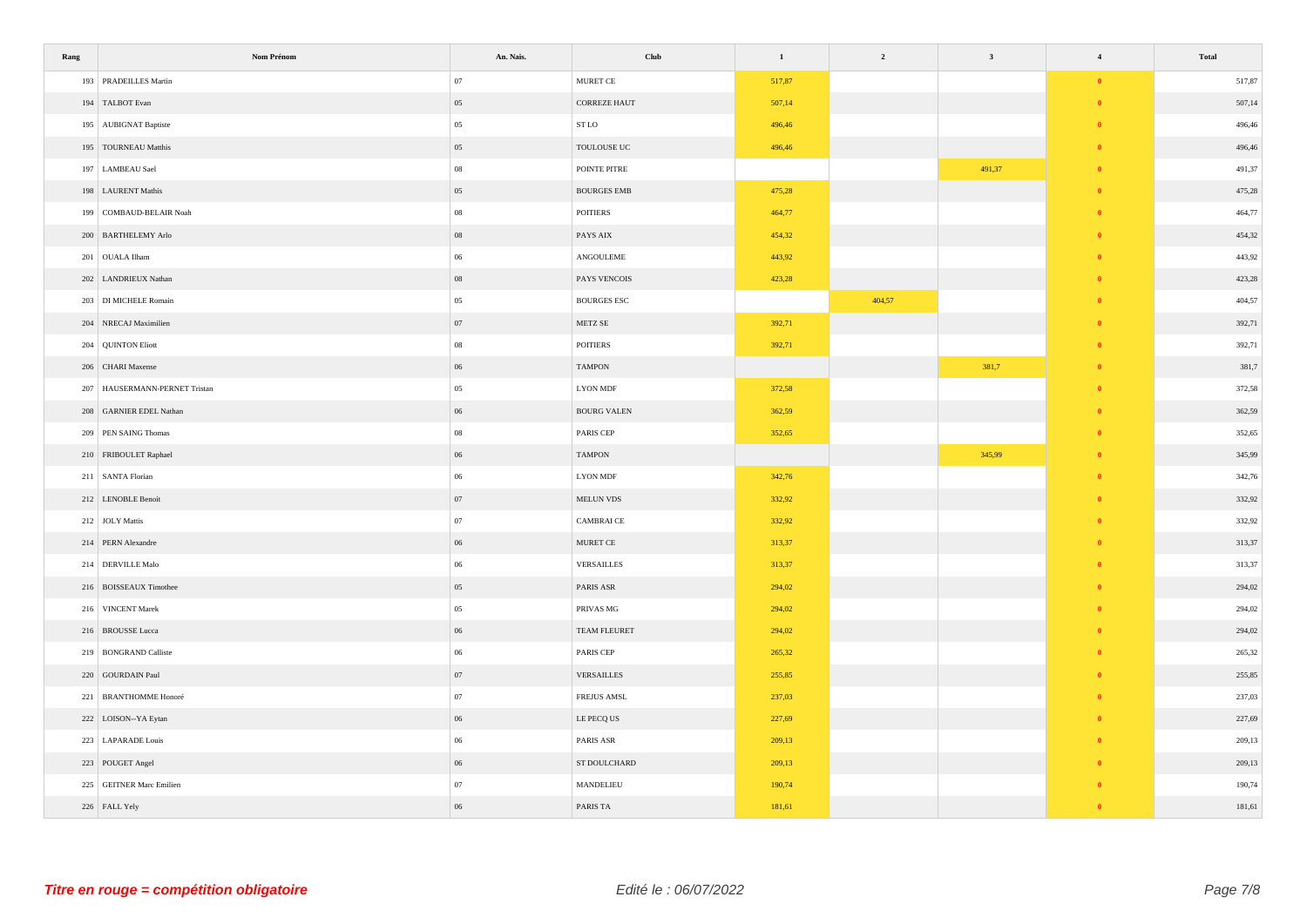| Rang | Nom Prénom                    | An. Nais.  | Club                        | $\mathbf{1}$ | $\overline{\mathbf{c}}$ | $\overline{\mathbf{3}}$ | $\overline{4}$ | Total  |
|------|-------------------------------|------------|-----------------------------|--------------|-------------------------|-------------------------|----------------|--------|
|      | 193 PRADEILLES Martin         | 07         | MURET CE                    | 517,87       |                         |                         | $\bullet$      | 517,87 |
|      | 194 TALBOT Evan               | 05         | <b>CORREZE HAUT</b>         | 507,14       |                         |                         | $\mathbf{0}$   | 507,14 |
|      | 195 AUBIGNAT Baptiste         | $05\,$     | ${\tt STLO}$                | 496,46       |                         |                         | $\mathbf{0}$   | 496,46 |
|      | 195 TOURNEAU Matthis          | 05         | ${\tt TOULOUSE}$ ${\tt UC}$ | 496,46       |                         |                         | $\mathbf{0}$   | 496,46 |
|      | 197 LAMBEAU Sael              | ${\bf 08}$ | POINTE PITRE                |              |                         | 491,37                  | $\bullet$      | 491,37 |
|      | 198 LAURENT Mathis            | 05         | <b>BOURGES EMB</b>          | 475,28       |                         |                         | $\mathbf{0}$   | 475,28 |
|      | 199 COMBAUD-BELAIR Noah       | ${\bf 08}$ | ${\mbox{POTT IERS}}$        | 464,77       |                         |                         | $\theta$       | 464,77 |
|      | 200 BARTHELEMY Arlo           | $08\,$     | PAYS AIX                    | 454,32       |                         |                         |                | 454,32 |
|      | 201 OUALA Ilham               | $06\,$     | ANGOULEME                   | 443,92       |                         |                         | $\bullet$      | 443,92 |
|      | 202 LANDRIEUX Nathan          | $08\,$     | PAYS VENCOIS                | 423,28       |                         |                         |                | 423,28 |
|      | 203 DI MICHELE Romain         | 05         | BOURGES ESC                 |              | 404,57                  |                         | $\theta$       | 404,57 |
|      | 204 NRECAJ Maximilien         | $07\,$     | METZ SE                     | 392,71       |                         |                         | $\mathbf{0}$   | 392,71 |
|      | 204 QUINTON Eliott            | $08\,$     | <b>POITIERS</b>             | 392,71       |                         |                         | $\mathbf{0}$   | 392,71 |
|      | 206 CHARI Maxense             | $06\,$     | <b>TAMPON</b>               |              |                         | 381,7                   | $\theta$       | 381,7  |
|      | 207 HAUSERMANN-PERNET Tristan | 05         | <b>LYON MDF</b>             | 372,58       |                         |                         | $\theta$       | 372,58 |
|      | 208 GARNIER EDEL Nathan       | $06\,$     | <b>BOURG VALEN</b>          | 362,59       |                         |                         | $\theta$       | 362,59 |
|      | 209 PEN SAING Thomas          | $08\,$     | PARIS CEP                   | 352,65       |                         |                         | - 0            | 352,65 |
|      | 210 FRIBOULET Raphael         | 06         | <b>TAMPON</b>               |              |                         | 345,99                  | - 0            | 345,99 |
|      | 211 SANTA Florian             | $06\,$     | ${\rm LYON}$ MDF            | 342,76       |                         |                         | $\bullet$      | 342,76 |
|      | 212 LENOBLE Benoit            | 07         | $\operatorname{MELUN}$ VDS  | 332,92       |                         |                         | $\theta$       | 332,92 |
|      | 212 JOLY Mattis               | $07\,$     | <b>CAMBRAICE</b>            | 332,92       |                         |                         | $\mathbf{0}$   | 332,92 |
|      | 214 PERN Alexandre            | $06\,$     | $\,$ MURET CE               | 313,37       |                         |                         |                | 313,37 |
|      | 214 DERVILLE Malo             | 06         | VERSAILLES                  | 313,37       |                         |                         | $\theta$       | 313,37 |
|      | 216 BOISSEAUX Timothee        | $05\,$     | PARIS ASR                   | 294,02       |                         |                         |                | 294,02 |
|      | 216 VINCENT Marek             | $05\,$     | PRIVAS MG                   | 294,02       |                         |                         | $\mathbf{0}$   | 294,02 |
|      | 216 BROUSSE Lucca             | 06         | TEAM FLEURET                | 294,02       |                         |                         | $\theta$       | 294,02 |
|      | 219 BONGRAND Calliste         | 06         | PARIS CEP                   | 265,32       |                         |                         | $\mathbf{0}$   | 265,32 |
|      | 220 GOURDAIN Paul             | 07         | VERSAILLES                  | 255,85       |                         |                         | $\theta$       | 255,85 |
|      | 221 BRANTHOMME Honoré         | $07\,$     | <b>FREJUS AMSL</b>          | 237,03       |                         |                         | $\theta$       | 237,03 |
|      | 222 LOISON-YA Eytan           | $06\,$     | LE PECQ US                  | 227,69       |                         |                         |                | 227,69 |
|      | 223 LAPARADE Louis            | 06         | PARIS ASR                   | 209,13       |                         |                         |                | 209,13 |
|      | 223 POUGET Angel              | $06\,$     | ST DOULCHARD                | 209,13       |                         |                         |                | 209,13 |
|      | 225 GEITNER Marc Emilien      | 07         | MANDELIEU                   | 190,74       |                         |                         |                | 190,74 |
|      | 226 FALL Yely                 | $06\,$     | PARIS TA                    | 181,61       |                         |                         |                | 181,61 |